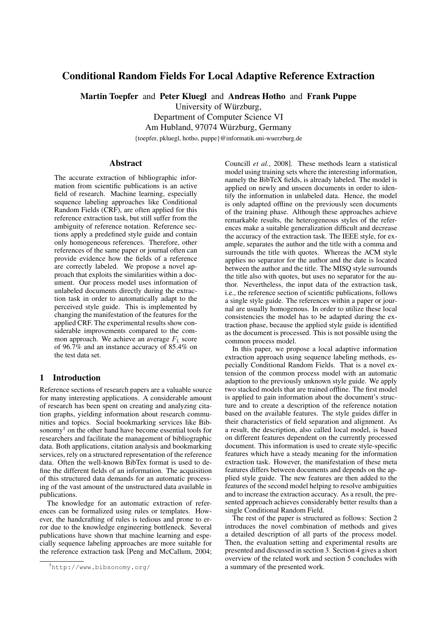# Conditional Random Fields For Local Adaptive Reference Extraction

Martin Toepfer and Peter Kluegl and Andreas Hotho and Frank Puppe

University of Würzburg,

Department of Computer Science VI

Am Hubland, 97074 Würzburg, Germany

{toepfer, pkluegl, hotho, puppe}@informatik.uni-wuerzburg.de

### Abstract

The accurate extraction of bibliographic information from scientific publications is an active field of research. Machine learning, especially sequence labeling approaches like Conditional Random Fields (CRF), are often applied for this reference extraction task, but still suffer from the ambiguity of reference notation. Reference sections apply a predefined style guide and contain only homogeneous references. Therefore, other references of the same paper or journal often can provide evidence how the fields of a reference are correctly labeled. We propose a novel approach that exploits the similarities within a document. Our process model uses information of unlabeled documents directly during the extraction task in order to automatically adapt to the perceived style guide. This is implemented by changing the manifestation of the features for the applied CRF. The experimental results show considerable improvements compared to the common approach. We achieve an average  $F_1$  score of 96.7% and an instance accuracy of 85.4% on the test data set.

# 1 Introduction

Reference sections of research papers are a valuable source for many interesting applications. A considerable amount of research has been spent on creating and analyzing citation graphs, yielding information about research communities and topics. Social bookmarking services like Bibsonomy<sup>1</sup> on the other hand have become essential tools for researchers and facilitate the management of bibliographic data. Both applications, citation analysis and bookmarking services, rely on a structured representation of the reference data. Often the well-known BibTex format is used to define the different fields of an information. The acquisition of this structured data demands for an automatic processing of the vast amount of the unstructured data available in publications.

The knowledge for an automatic extraction of references can be formalized using rules or templates. However, the handcrafting of rules is tedious and prone to error due to the knowledge engineering bottleneck. Several publications have shown that machine learning and especially sequence labeling approaches are more suitable for the reference extraction task [Peng and McCallum, 2004; Councill *et al.*, 2008]. These methods learn a statistical model using training sets where the interesting information, namely the BibTeX fields, is already labeled. The model is applied on newly and unseen documents in order to identify the information in unlabeled data. Hence, the model is only adapted offline on the previously seen documents of the training phase. Although these approaches achieve remarkable results, the heterogeneous styles of the references make a suitable generalization difficult and decrease the accuracy of the extraction task. The IEEE style, for example, separates the author and the title with a comma and surrounds the title with quotes. Whereas the ACM style applies no separator for the author and the date is located between the author and the title. The MISQ style surrounds the title also with quotes, but uses no separator for the author. Nevertheless, the input data of the extraction task, i.e., the reference section of scientific publications, follows a single style guide. The references within a paper or journal are usually homogenous. In order to utilize these local consistencies the model has to be adapted during the extraction phase, because the applied style guide is identified as the document is processed. This is not possible using the common process model.

In this paper, we propose a local adaptive information extraction approach using sequence labeling methods, especially Conditional Random Fields. That is a novel extension of the common process model with an automatic adaption to the previously unknown style guide. We apply two stacked models that are trained offline. The first model is applied to gain information about the document's structure and to create a description of the reference notation based on the available features. The style guides differ in their characteristics of field separation and alignment. As a result, the description, also called local model, is based on different features dependent on the currently processed document. This information is used to create style-specific features which have a steady meaning for the information extraction task. However, the manifestation of these meta features differs between documents and depends on the applied style guide. The new features are then added to the features of the second model helping to resolve ambiguities and to increase the extraction accuracy. As a result, the presented approach achieves considerably better results than a single Conditional Random Field.

The rest of the paper is structured as follows: Section 2 introduces the novel combination of methods and gives a detailed description of all parts of the process model. Then, the evaluation setting and experimental results are presented and discussed in section 3. Section 4 gives a short overview of the related work and section 5 concludes with a summary of the presented work.

<sup>1</sup>http://www.bibsonomy.org/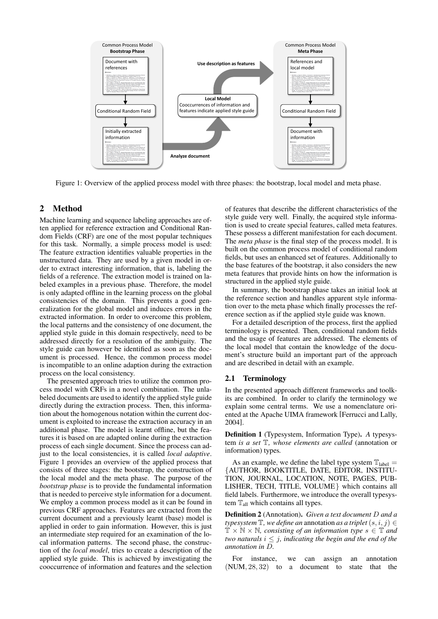

Figure 1: Overview of the applied process model with three phases: the bootstrap, local model and meta phase.

# 2 Method

Machine learning and sequence labeling approaches are often applied for reference extraction and Conditional Random Fields (CRF) are one of the most popular techniques for this task. Normally, a simple process model is used: The feature extraction identifies valuable properties in the unstructured data. They are used by a given model in order to extract interesting information, that is, labeling the fields of a reference. The extraction model is trained on labeled examples in a previous phase. Therefore, the model is only adapted offline in the learning process on the global consistencies of the domain. This prevents a good generalization for the global model and induces errors in the extracted information. In order to overcome this problem, the local patterns and the consistency of one document, the applied style guide in this domain respectively, need to be addressed directly for a resolution of the ambiguity. The style guide can however be identified as soon as the document is processed. Hence, the common process model is incompatible to an online adaption during the extraction process on the local consistency.

The presented approach tries to utilize the common process model with CRFs in a novel combination. The unlabeled documents are used to identify the applied style guide directly during the extraction process. Then, this information about the homogenous notation within the current document is exploited to increase the extraction accuracy in an additional phase. The model is learnt offline, but the features it is based on are adapted online during the extraction process of each single document. Since the process can adjust to the local consistencies, it is called *local adaptive*. Figure 1 provides an overview of the applied process that consists of three stages: the bootstrap, the construction of the local model and the meta phase. The purpose of the *bootstrap phase* is to provide the fundamental information that is needed to perceive style information for a document. We employ a common process model as it can be found in previous CRF approaches. Features are extracted from the current document and a previously learnt (base) model is applied in order to gain information. However, this is just an intermediate step required for an examination of the local information patterns. The second phase, the construction of the *local model*, tries to create a description of the applied style guide. This is achieved by investigating the cooccurrence of information and features and the selection

of features that describe the different characteristics of the style guide very well. Finally, the acquired style information is used to create special features, called meta features. These possess a different manifestation for each document. The *meta phase* is the final step of the process model. It is built on the common process model of conditional random fields, but uses an enhanced set of features. Additionally to the base features of the bootstrap, it also considers the new meta features that provide hints on how the information is structured in the applied style guide.

In summary, the bootstrap phase takes an initial look at the reference section and handles apparent style information over to the meta phase which finally processes the reference section as if the applied style guide was known.

For a detailed description of the process, first the applied terminology is presented. Then, conditional random fields and the usage of features are addressed. The elements of the local model that contain the knowledge of the document's structure build an important part of the approach and are described in detail with an example.

# 2.1 Terminology

In the presented approach different frameworks and toolkits are combined. In order to clarify the terminology we explain some central terms. We use a nomenclature oriented at the Apache UIMA framework [Ferrucci and Lally, 2004].

Definition 1 (Typesystem, Information Type). *A* typesystem *is a set* T*, whose elements are called* (annotation or information) types*.*

As an example, we define the label type system  $\mathbb{T}_{\text{label}} =$ {AUTHOR, BOOKTITLE, DATE, EDITOR, INSTITU-TION, JOURNAL, LOCATION, NOTE, PAGES, PUB-LISHER, TECH, TITLE, VOLUME} which contains all field labels. Furthermore, we introduce the overall typesystem  $T_{all}$  which contains all types.

Definition 2 (Annotation). *Given a text document* D *and a typesystem*  $\mathbb{T}$ *, we define an* annotation *as a triplet*  $(s, i, j) \in$  $\mathbb{T} \times \mathbb{N} \times \mathbb{N}$ , consisting of an information type  $s \in \mathbb{T}$  and *two naturals*  $i \leq j$ *, indicating the begin and the end of the annotation in* D*.*

For instance, we can assign an annotation (NUM, 28, 32) to a document to state that the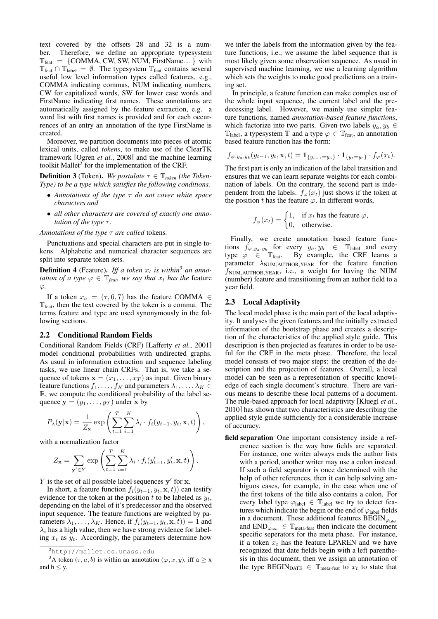text covered by the offsets 28 and 32 is a number. Therefore, we define an appropriate typesystem  $\mathbb{T}_{\text{feat}} = \{ \text{COMMA}, \text{CW}, \text{SW}, \text{NUM}, \text{FirstName} \dots \}$  with  $T_{\text{feat}} \cap T_{\text{label}} = \emptyset$ . The typesystem  $T_{\text{feat}}$  contains several useful low level information types called features, e.g., COMMA indicating commas, NUM indicating numbers, CW for capitalized words, SW for lower case words and FirstName indicating first names. These annotations are automatically assigned by the feature extraction, e.g. a word list with first names is provided and for each occurrences of an entry an annotation of the type FirstName is created.

Moreover, we partition documents into pieces of atomic lexical units, called *tokens*, to make use of the ClearTK framework [Ogren *et al.*, 2008] and the machine learning toolkit Mallet $2^2$  for the implementation of the CRF.

**Definition 3** (Token). We postulate  $\tau \in \mathbb{T}_{token}$  (the Token-*Type) to be a type which satisfies the following conditions.*

- *Annotations of the type* τ *do not cover white space characters and*
- *all other characters are covered of exactly one annotation of the type*  $τ$ *.*

*Annotations of the type* τ *are called* tokens*.*

Punctuations and special characters are put in single tokens. Alphabetic and numerical character sequences are split into separate token sets.

**Definition 4** (Feature). Iff a token  $x_t$  is within<sup>3</sup> an anno*tation of a type*  $\varphi \in \mathbb{T}_{\text{feat}}$ *, we say that*  $x_t$  *has the* feature ϕ*.*

If a token  $x_a = (\tau, 6, 7)$  has the feature COMMA  $\in$  $T_{\text{feat}}$ , then the text covered by the token is a comma. The terms feature and type are used synonymously in the following sections.

### 2.2 Conditional Random Fields

Conditional Random Fields (CRF) [Lafferty *et al.*, 2001] model conditional probabilities with undirected graphs. As usual in information extraction and sequence labeling tasks, we use linear chain CRFs. That is, we take a sequence of tokens  $\mathbf{x} = (x_1, \dots, x_T)$  as input. Given binary feature functions  $f_1, \ldots, f_K$  and parameters  $\lambda_1, \ldots, \lambda_K \in$ R, we compute the conditional probability of the label sequence  $y = (y_1, \ldots, y_T)$  under x by

$$
P_{\lambda}(\mathbf{y}|\mathbf{x}) = \frac{1}{Z_{\mathbf{x}}} \exp \left( \sum_{t=1}^{T} \sum_{i=1}^{K} \lambda_i \cdot f_i(y_{t-1}, y_t, \mathbf{x}, t) \right),
$$

with a normalization factor

$$
Z_{\mathbf{x}} = \sum_{\mathbf{y}' \in Y} \exp \left( \sum_{t=1}^{T} \sum_{i=1}^{K} \lambda_i \cdot f_i(y'_{t-1}, y'_t, \mathbf{x}, t) \right).
$$

 $Y$  is the set of all possible label sequences  $y'$  for  $x$ .

In short, a feature function  $f_i(y_{t-1}, y_t, \mathbf{x}, t)$  can testify evidence for the token at the position t to be labeled as  $y_t$ , depending on the label of it's predecessor and the observed input sequence. The feature functions are weighted by parameters  $\lambda_1, \ldots, \lambda_K$ . Hence, if  $f_i(y_{t-1}, y_t, \mathbf{x}, t)$ ) = 1 and  $\lambda_i$  has a high value, then we have strong evidence for labeling  $x_t$  as  $y_t$ . Accordingly, the parameters determine how

we infer the labels from the information given by the feature functions, i.e., we assume the label sequence that is most likely given some observation sequence. As usual in supervised machine learning, we use a learning algorithm which sets the weights to make good predictions on a training set.

In principle, a feature function can make complex use of the whole input sequence, the current label and the predecessing label. However, we mainly use simpler feature functions, named *annotation-based feature functions*, which factorize into two parts. Given two labels  $y_a, y_b \in$  $\mathbb{T}_{\text{label}}$ , a typesystem  $\mathbb{T}$  and a type  $\varphi \in \mathbb{T}_{\text{feat}}$ , an annotation based feature function has the form:

$$
f_{\varphi,y_a,y_b}(y_{t-1},y_t,\mathbf{x},t)=\mathbf{1}_{\{y_{t-1}=y_a\}}\cdot\mathbf{1}_{\{y_t=y_b\}}\cdot f_{\varphi}(x_t).
$$

The first part is only an indication of the label transition and ensures that we can learn separate weights for each combination of labels. On the contrary, the second part is independent from the labels.  $f_{\varphi}(x_t)$  just shows if the token at the position t has the feature  $\varphi$ . In different words,

$$
f_{\varphi}(x_t) = \begin{cases} 1, & \text{if } x_t \text{ has the feature } \varphi, \\ 0, & \text{otherwise.} \end{cases}
$$

Finally, we create annotation based feature functions  $f_{\varphi, y_a, y_b}$  for every  $y_a, y_b \in \mathbb{T}_{\text{label}}$  and every type  $\varphi \in \mathbb{T}_{\text{feat}}$ . By example, the CRF learns a parameter  $\lambda_{\text{NUM.AUTHOR, YEAR}}$  for the feature function  $f_{\text{NUM,AUTHOR,YEAR}}$ , i.e., a weight for having the NUM (number) feature and transitioning from an author field to a year field.

### 2.3 Local Adaptivity

The local model phase is the main part of the local adaptivity. It analyses the given features and the initially extracted information of the bootstrap phase and creates a description of the characteristics of the applied style guide. This description is then projected as features in order to be useful for the CRF in the meta phase. Therefore, the local model consists of two major steps: the creation of the description and the projection of features. Overall, a local model can be seen as a representation of specific knowledge of each single document's structure. There are various means to describe these local patterns of a document. The rule-based approach for local adaptivity [Kluegl *et al.*, 2010] has shown that two characteristics are describing the applied style guide sufficiently for a considerable increase of accuracy.

field separation One important consistency inside a reference section is the way how fields are separated. For instance, one writer always ends the author lists with a period, another writer may use a colon instead. If such a field separator is once determined with the help of other references, then it can help solving ambiguos cases, for example, in the case when one of the first tokens of the title also contains a colon. For every label type  $\varphi_{\text{label}} \in \mathbb{T}_{\text{label}}$  we try to detect features which indicate the begin or the end of  $\varphi_{\text{label}}$  fields in a document. These additional features  $\text{BEGIN}_{\varphi_{\text{label}}}$ and  $END_{\varphi_{\text{label}}} \in \mathbb{T}_{\text{meta-feat}}$  then indicate the document specific seperators for the meta phase. For instance, if a token  $x_t$  has the feature LPAREN and we have recognized that date fields begin with a left parenthesis in this document, then we assign an annotation of the type BEGINDATE  $\in$  T<sub>meta-feat</sub> to  $x_t$  to state that

<sup>2</sup>http://mallet.cs.umass.edu

<sup>&</sup>lt;sup>3</sup>A token ( $\tau$ ,  $a$ ,  $b$ ) is within an annotation ( $\varphi$ ,  $x$ ,  $y$ ), iff a  $\geq x$ and  $b \leq y$ .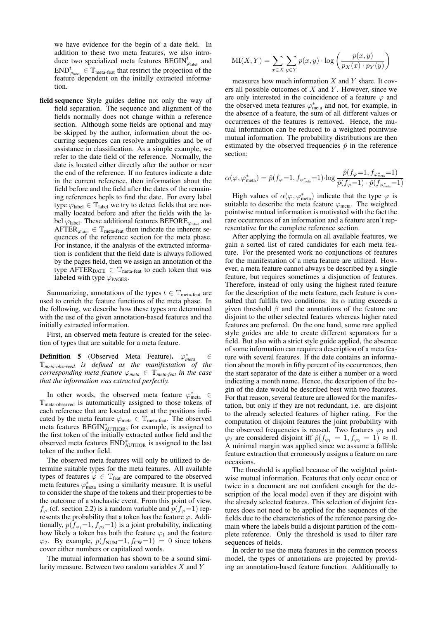we have evidence for the begin of a date field. In addition to these two meta features, we also introduce two specialized meta features  $\text{BEGIN}_{\varphi_{\text{label}}}^t$  and  $\text{END}_{\varphi_{\text{label}}}^t \in \mathbb{T}_{\text{meta-feat}}$  that restrict the projection of the feature dependent on the initally extracted information.

field sequence Style guides define not only the way of field separation. The sequence and alignment of the fields normally does not change within a reference section. Although some fields are optional and may be skipped by the author, information about the occurring sequences can resolve ambiguities and be of assistance in classification. As a simple example, we refer to the date field of the reference. Normally, the date is located either directly after the author or near the end of the reference. If no features indicate a date in the current reference, then information about the field before and the field after the dates of the remaining references hepls to find the date. For every label type  $\varphi_{\text{label}} \in \mathbb{T}_{\text{label}}$  we try to detect fields that are normally located before and after the fields with the label  $\varphi_{\text{label}}$ . These additional features BEFORE<sub> $\varphi_{\text{label}}$ </sub> and AFTER  $\varphi_{\text{label}} \in \mathbb{T}_{\text{meta-feat}}$  then indicate the inherent sequences of the reference section for the meta phase. For instance, if the analysis of the extracted information is confident that the field date is always followed by the pages field, then we assign an annotation of the type AFTER<sub>DATE</sub>  $\in$  T<sub>meta-feat</sub> to each token that was labeled with type  $\varphi_{\text{PAGES}}$ .

Summarizing, annotations of the types  $t \in \mathbb{T}_{meta\text{-}feat}$  are used to enrich the feature functions of the meta phase. In the following, we describe how these types are determined with the use of the given annotation-based features and the initially extracted information.

First, an observed meta feature is created for the selection of types that are suitable for a meta feature.

**Definition 5** (Observed Meta Feature).  $\varphi_{meta}^* \in$ **Definition 5** (Observed Meta Feature).  $\varphi_{meta}^{*} \in \mathbb{T}_{meta-observed}$  *is defined as the manifestation of the corresponding meta feature*  $\varphi_{meta} \in \mathbb{T}_{meta\text{-}feat}$  *in the case that the information was extracted perfectly.*

In other words, the observed meta feature  $\varphi_{meta}^* \in$ Tmeta-observed is automatically assigned to those tokens of each reference that are located exact at the positions indicated by the meta feature  $\varphi_{meta} \in \mathbb{T}_{meta\text{-}feat}$ . The observed meta features BEGIN<sup>\*</sup><sub>AUTHOR</sub>, for example, is assigned to the first token of the initially extracted author field and the observed meta features  $END^*_{AUTHOR}$  is assigned to the last token of the author field.

The observed meta features will only be utilized to determine suitable types for the meta features. All available types of features  $\varphi \in \mathbb{T}_{\text{feat}}$  are compared to the observed meta features  $\varphi_{meta}^{*}$  using a similarity measure. It is useful to consider the shape of the tokens and their properties to be the outcome of a stochastic event. From this point of view,  $f_{\varphi}$  (cf. section 2.2) is a random variable and  $p(f_{\varphi}=1)$  represents the probability that a token has the feature  $\varphi$ . Additionally,  $p(f_{\varphi_1}=1, f_{\varphi_2}=1)$  is a joint probability, indicating how likely a token has both the feature  $\varphi_1$  and the feature  $\varphi_2$ . By example,  $p(f_{\text{NUM}}=1, f_{\text{CW}}=1) = 0$  since tokens cover either numbers or capitalized words.

The mutual information has shown to be a sound similarity measure. Between two random variables X and Y

$$
MI(X, Y) = \sum_{x \in X} \sum_{y \in Y} p(x, y) \cdot \log \left( \frac{p(x, y)}{p_X(x) \cdot p_Y(y)} \right)
$$

measures how much information  $X$  and  $Y$  share. It covers all possible outcomes of  $X$  and  $Y$ . However, since we are only interested in the coincidence of a feature  $\varphi$  and the observed meta features  $\varphi_{meta}^*$  and not, for example, in the absence of a feature, the sum of all different values or occurrences of the features is removed. Hence, the mutual information can be reduced to a weighted pointwise mutual information. The probability distributions are then estimated by the observed frequencies  $\hat{p}$  in the reference section:

$$
\alpha(\varphi, \varphi^*_{\text{meta}}) = \hat{p}(f_{\varphi} = 1, f_{\varphi^*_{\text{meta}}} = 1) \cdot \log \frac{\hat{p}(f_{\varphi} = 1, f_{\varphi^*_{\text{meta}}} = 1)}{\hat{p}(f_{\varphi} = 1) \cdot \hat{p}(f_{\varphi^*_{\text{meta}}} = 1)}
$$

High values of  $\alpha(\varphi, \varphi_{meta}^*)$  indicate that the type  $\varphi$  is suitable to describe the meta feature  $\varphi$ <sub>meta</sub>. The weighted pointwise mutual information is motivated with the fact the rare occurrences of an information and a feature aren't representative for the complete reference section.

After applying the formula on all available features, we gain a sorted list of rated candidates for each meta feature. For the presented work no conjunctions of features for the manifestation of a meta feature are utilized. However, a meta feature cannot always be described by a single feature, but requires sometimes a disjunction of features. Therefore, instead of only using the highest rated feature for the description of the meta feature, each feature is consulted that fulfills two conditions: its  $\alpha$  rating exceeds a given threshold  $\beta$  and the annotations of the feature are disjoint to the other selected features whereas higher rated features are preferred. On the one hand, some rare applied style guides are able to create different separators for a field. But also with a strict style guide applied, the absence of some information can require a description of a meta feature with several features. If the date contains an information about the month in fifty percent of its occurrences, then the start separator of the date is either a number or a word indicating a month name. Hence, the description of the begin of the date would be described best with two features. For that reason, several feature are allowed for the manifestation, but only if they are not redundant, i.e. are disjoint to the already selected features of higher rating. For the computation of disjoint features the joint probability with the observed frequencies is reused. Two features  $\varphi_1$  and  $\varphi_2$  are considered disjoint iff  $\hat{p}(f_{\varphi_1} = 1, f_{\varphi_2} = 1) \approx 0$ . A minimal margin was applied since we assume a fallible feature extraction that erroneously assigns a feature on rare occasions.

The threshold is applied because of the weighted pointwise mutual information. Features that only occur once or twice in a document are not confident enough for the description of the local model even if they are disjoint with the already selected features. This selection of disjoint features does not need to be applied for the sequences of the fields due to the characteristics of the reference parsing domain where the labels build a disjoint partition of the complete reference. Only the threshold is used to filter rare sequences of fields.

In order to use the meta features in the common process model, the types of annotations are projected by providing an annotation-based feature function. Additionally to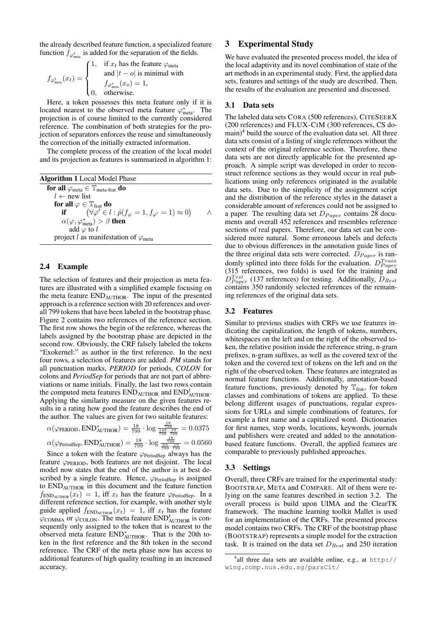the already described feature function, a specialized feature function  $f_{\varphi_{meta}}^t$  is added for the separation of the fields.

$$
f_{\varphi_{\text{meta}}^t}(x_t) = \begin{cases} 1, & \text{if } x_t \text{ has the feature } \varphi_{\text{meta}} \\ & \text{and } |t - o| \text{ is minimal with} \\ & f_{\varphi_{\text{meta}}^*}(x_o) = 1, \\ 0, & \text{otherwise.} \end{cases}
$$

Here, a token possesses this meta feature only if it is located nearest to the observed meta feature  $\varphi^*_{meta}$ . The projection is of course limited to the currently considered reference. The combination of both strategies for the projection of separators enforces the reuse and simultaneously the correction of the initially extracted information.

The complete process of the creation of the local model and its projection as features is summarized in algorithm 1:

| <b>Algorithm 1</b> Local Model Phase                                                 |  |
|--------------------------------------------------------------------------------------|--|
| for all $\varphi_{meta} \in \mathbb{T}_{meta\text{-feat}}$ do                        |  |
| $l \leftarrow$ new list                                                              |  |
| for all $\varphi \in \mathbb{T}_{\text{feat}}$ do                                    |  |
| if $(\forall \varphi' \in l : \hat{p}(f_{\varphi} = 1, f_{\varphi'} = 1) \approx 0)$ |  |
| $\alpha(\varphi, \varphi_{\text{meta}}^*) > \beta$ then                              |  |
| add $\varphi$ to l                                                                   |  |
| project l as manifestation of $\varphi$ <sub>meta</sub>                              |  |
|                                                                                      |  |

### 2.4 Example

The selection of features and their projection as meta features are illustrated with a simplified example focusing on the meta feature ENDAUTHOR. The input of the presented approach is a reference section with 20 references and overall 799 tokens that have been labeled in the bootstrap phase. Figure 2 contains two references of the reference section. The first row shows the begin of the reference, whereas the labels assigned by the bootstrap phase are depicted in the second row. Obviously, the CRF falsely labeled the tokens "Exokernel:" as author in the first reference. In the next four rows, a selection of features are added. *PM* stands for all punctuation marks, *PERIOD* for periods, *COLON* for colons and *PeriodSep* for periods that are not part of abbreviations or name initials. Finally, the last two rows contain the computed meta features  $\text{END}_{\text{AUTHOR}}$  and  $\text{END}_{\text{AUTHOR}}^t$ . Applying the similarity measure on the given features results in a rating how good the feature describes the end of the author. The values are given for two suitable features:

$$
\alpha(\varphi_{\text{PERIOD}}, \text{END}^*_{\text{AUTHOR}}) = \frac{18}{799} \cdot \log \frac{\frac{18}{799}}{\frac{143}{799} \cdot \frac{199}{799}} = 0.0375
$$

$$
\alpha(\varphi_{\text{PeriodSep}}, \text{END}^*_{\text{AUTHOR}}) = \frac{18}{799} \cdot \log \frac{\frac{18}{799}}{\frac{63}{799} \cdot \frac{19}{799}} = 0.0560
$$

Since a token with the feature  $\varphi_{\text{PeriodSep}}$  always has the feature  $\varphi$ <sub>PERIOD</sub>, both features are not disjoint. The local model now states that the end of the author is at best described by a single feature. Hence,  $\varphi_{\text{PeriodSep}}$  is assigned to ENDAUTHOR in this document and the feature function  $f_{\text{END}}(x_t) = 1$ , iff  $x_t$  has the feature  $\varphi_{\text{PeriodSep}}$ . In a different reference section, for example, with another style guide applied  $f_{END_{\text{AUTHOR}}}(x_t) = 1$ , iff  $x_t$  has the feature  $\varphi$ COMMA or  $\varphi$ COLON. The meta feature END<sup>t</sup><sub>AUTHOR</sub> is consequently only assigned to the token that is nearest to the observed meta feature END<sup>∗</sup> AUTHOR. That is the 20th token in the first reference and the 8th token in the second reference. The CRF of the meta phase now has access to additional features of high quality resulting in an increased accuracy.

# 3 Experimental Study

We have evaluated the presented process model, the idea of the local adaptivity and its novel combination of state of the art methods in an experimental study. First, the applied data sets, features and settings of the study are described. Then, the results of the evaluation are presented and discussed.

### 3.1 Data sets

The labeled data sets CORA (500 references), CITESEERX (200 references) and FLUX-CIM (300 references, CS do- $\text{main}^4$  build the source of the evaluation data set. All three data sets consist of a listing of single references without the context of the original reference section. Therefore, these data sets are not directly applicable for the presented approach. A simple script was developed in order to reconstruct reference sections as they would occur in real publications using only references originated in the available data sets. Due to the simplicity of the assignment script and the distribution of the reference styles in the dataset a considerable amount of references could not be assigned to a paper. The resulting data set  $D_{Paper}$  contains 28 documents and overall 452 references and resembles reference sections of real papers. Therefore, our data set can be considered more natural. Some erroneous labels and defects due to obvious differences in the annotation guide lines of the three original data sets were corrected.  $D_{Paper}$  is randomly splitted into three folds for the evaluation.  $D_{Paper}^{Train}$ (315 references, two folds) is used for the training and  $D_{Paper}^{Test}$  (137 references) for testing. Additionally,  $D_{Rest}$ contains 350 randomly selected references of the remaining references of the original data sets.

### 3.2 Features

Similar to previous studies with CRFs we use features indicating the capitalization, the length of tokens, numbers, whitespaces on the left and on the right of the observed token, the relative position inside the reference string, n-gram prefixes, n-gram suffixes, as well as the covered text of the token and the covered text of tokens on the left and on the right of the observed token. These features are integrated as normal feature functions. Additionally, annotation-based feature functions, previously denoted by  $\mathbb{T}_{\text{feat}}$ , for token classes and combinations of tokens are applied. To these belong different usages of punctuations, regular expressions for URLs and simple combinations of features, for example a first name and a capitalized word. Dictionaries for first names, stop words, locations, keywords, journals and publishers were created and added to the annotationbased feature functions. Overall, the applied features are comparable to previously published approaches.

### 3.3 Settings

Overall, three CRFs are trained for the experimental study: BOOTSTRAP, META and COMPARE. All of them were relying on the same features described in section 3.2. The overall process is build upon UIMA and the ClearTK framework. The machine learning toolkit Mallet is used for an implementation of the CRFs. The presented process model contains two CRFs. The CRF of the bootstrap phase (BOOTSTRAP) represents a simple model for the extraction task. It is trained on the data set  $D_{Rest}$  and 250 iteration

<sup>4</sup> all three data sets are available online, e.g., at http:// wing.comp.nus.edu.sg/parsCit/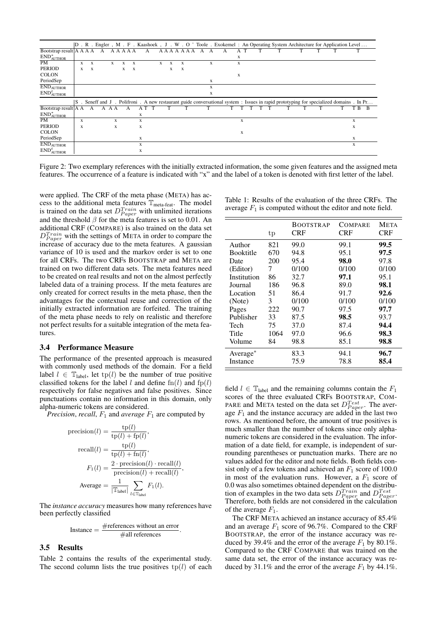|                                                      |   |   |   |       |   |   |   |   |   |   |              |  |   | D. R. Engler, M. F. Kaashoek, J. W. O'Toole. Exokernel: An Operating System Architecture for Application Level                            |   |  |  |  |  |   |              |
|------------------------------------------------------|---|---|---|-------|---|---|---|---|---|---|--------------|--|---|-------------------------------------------------------------------------------------------------------------------------------------------|---|--|--|--|--|---|--------------|
| Bootstrap result $A A A$                             |   |   | A | AAAAA |   |   |   | А |   |   | AAAAAAA      |  |   |                                                                                                                                           | А |  |  |  |  |   |              |
| $\mathrm{END}^*_{\mathrm{AUTHOR}}$                   |   |   |   |       |   |   |   |   |   |   |              |  |   |                                                                                                                                           | X |  |  |  |  |   |              |
| <b>PM</b>                                            | X | X |   | X     | X | X |   |   | X | X | X            |  | X |                                                                                                                                           | X |  |  |  |  |   |              |
| <b>PERIOD</b>                                        | X | X |   |       | X | X |   |   |   | X | $\mathbf{x}$ |  |   |                                                                                                                                           |   |  |  |  |  |   |              |
| <b>COLON</b>                                         |   |   |   |       |   |   |   |   |   |   |              |  |   |                                                                                                                                           | X |  |  |  |  |   |              |
| PeriodSep                                            |   |   |   |       |   |   |   |   |   |   |              |  | X |                                                                                                                                           |   |  |  |  |  |   |              |
| <b>ENDAUTHOR</b>                                     |   |   |   |       |   |   |   |   |   |   |              |  | X |                                                                                                                                           |   |  |  |  |  |   |              |
| $\mathrm{END}_{\mathrm{AUTHOR}}^t$                   |   |   |   |       |   |   |   |   |   |   |              |  | X |                                                                                                                                           |   |  |  |  |  |   |              |
|                                                      |   |   |   |       |   |   |   |   |   |   |              |  |   | S . Seneff and J . Polifroni . A new restaurant guide conversational system : Issues in rapid prototyping for specialized domains . In Pr |   |  |  |  |  |   |              |
| Bootstrap result $A$ A                               |   | А | А | ΑA    |   |   |   |   |   |   |              |  |   |                                                                                                                                           |   |  |  |  |  | B | <sup>B</sup> |
| $\mathrm{END}^*_{\mathrm{AUTHOR}}$                   |   |   |   |       |   |   | X |   |   |   |              |  |   |                                                                                                                                           |   |  |  |  |  |   |              |
| <b>PM</b>                                            | X |   |   | X     |   |   | X |   |   |   |              |  |   |                                                                                                                                           | X |  |  |  |  | X |              |
| <b>PERIOD</b>                                        | X |   |   | X     |   |   | X |   |   |   |              |  |   |                                                                                                                                           |   |  |  |  |  | X |              |
|                                                      |   |   |   |       |   |   |   |   |   |   |              |  |   |                                                                                                                                           |   |  |  |  |  |   |              |
| <b>COLON</b>                                         |   |   |   |       |   |   |   |   |   |   |              |  |   |                                                                                                                                           | X |  |  |  |  |   |              |
| PeriodSep                                            |   |   |   |       |   |   | X |   |   |   |              |  |   |                                                                                                                                           |   |  |  |  |  | X |              |
| <b>ENDAUTHOR</b><br>$\mathrm{END}^t_\mathrm{AUTHOR}$ |   |   |   |       |   |   | X |   |   |   |              |  |   |                                                                                                                                           |   |  |  |  |  | X |              |

Figure 2: Two exemplary references with the initially extracted information, the some given features and the assigned meta features. The occurrence of a feature is indicated with "x" and the label of a token is denoted with first letter of the label.

were applied. The CRF of the meta phase (META) has access to the additional meta features  $\mathbb{T}_{meta\text{-}feat}$ . The model is trained on the data set  $D_{Paper}^{Train}$  with unlimited iterations and the threshold  $\beta$  for the meta features is set to 0.01. An additional CRF (COMPARE) is also trained on the data set  $D_{Paper}^{Train}$  with the settings of META in order to compare the increase of accuracy due to the meta features. A gaussian variance of 10 is used and the markov order is set to one for all CRFs. The two CRFs BOOTSTRAP and META are trained on two different data sets. The meta features need to be created on real results and not on the almost perfectly labeled data of a training process. If the meta features are only created for correct results in the meta phase, then the advantages for the contextual reuse and correction of the initially extracted information are forfeited. The training of the meta phase needs to rely on realistic and therefore not perfect results for a suitable integration of the meta features.

#### 3.4 Performance Measure

The performance of the presented approach is measured with commonly used methods of the domain. For a field label  $l \in \mathbb{T}_{\text{label}}$ , let tp(l) be the number of true positive classified tokens for the label l and define  $\text{fn}(l)$  and  $\text{fp}(l)$ respectively for false negatives and false positives. Since punctuations contain no information in this domain, only alpha-numeric tokens are considered.

*Precision, recall,*  $F_1$  and *average*  $F_1$  are computed by

$$
\begin{aligned} \text{precision}(l) &= \frac{\text{tp}(l)}{\text{tp}(l) + \text{fp}(l)}, \\ \text{recall}(l) &= \frac{\text{tp}(l)}{\text{tp}(l) + \text{fn}(l)}, \\ F_1(l) &= \frac{2 \cdot \text{precision}(l) \cdot \text{recall}(l)}{\text{precision}(l) + \text{recall}(l)} \\ \text{Average} &= \frac{1}{|\text{Table 1}|} \sum_{l \in \text{Table 1}} F_1(l). \end{aligned}
$$

,

The *instance accuracy* measures how many references have been perfectly classified

$$
Instance = \frac{\#references without an error}{\#all references}.
$$

#### 3.5 Results

Table 2 contains the results of the experimental study. The second column lists the true positives  $tp(l)$  of each

| Table 1: Results of the evaluation of the three CRFs. The    |  |
|--------------------------------------------------------------|--|
| average $F_1$ is computed without the editor and note field. |  |

|                  | tp   | <b>BOOTSTRAP</b><br>CRF | COMPARE<br>CRF | <b>META</b><br>CRF |
|------------------|------|-------------------------|----------------|--------------------|
| Author           | 821  | 99.0                    | 99.1           | 99.5               |
| <b>Booktitle</b> | 670  | 94.8                    | 95.1           | 97.5               |
| Date             | 200  | 95.4                    | 98.0           | 97.8               |
| (Editor)         | 7    | 0/100                   | 0/100          | 0/100              |
| Institution      | 86   | 32.7                    | 97.1           | 95.1               |
| Journal          | 186  | 96.8                    | 89.0           | 98.1               |
| Location         | 51   | 86.4                    | 91.7           | 92.6               |
| (Note)           | 3    | 0/100                   | 0/100          | 0/100              |
| Pages            | 222  | 90.7                    | 97.5           | 97.7               |
| Publisher        | 33   | 87.5                    | 98.5           | 93.7               |
| Tech             | 75   | 37.0                    | 87.4           | 94.4               |
| Title            | 1064 | 97.0                    | 96.6           | 98.3               |
| Volume           | 84   | 98.8                    | 85.1           | 98.8               |
| Average*         |      | 83.3                    | 94.1           | 96.7               |
| Instance         |      | 75.9                    | 78.8           | 85.4               |

field  $l \in \mathbb{T}_{\text{label}}$  and the remaining columns contain the  $F_1$ scores of the three evaluated CRFs BOOTSTRAP, COM-PARE and META tested on the data set  $D_{Paper}^{Test}$ . The average  $F_1$  and the instance accuracy are added in the last two rows. As mentioned before, the amount of true positives is much smaller than the number of tokens since only alphanumeric tokens are considered in the evaluation. The information of a date field, for example, is independent of surrounding parentheses or punctuation marks. There are no values added for the editor and note fields. Both fields consist only of a few tokens and achieved an  $F_1$  score of 100.0 in most of the evaluation runs. However, a  $F_1$  score of 0.0 was also sometimes obtained dependent on the distribution of examples in the two data sets  $D_{Paper}^{Train}$  and  $D_{Paper}^{Test}$ . Therefore, both fields are not considered in the calculation of the average  $F_1$ .

The CRF META achieved an instance accuracy of 85.4% and an average  $F_1$  score of 96.7%. Compared to the CRF BOOTSTRAP, the error of the instance accuracy was reduced by 39.4% and the error of the average  $F_1$  by 80.1%. Compared to the CRF COMPARE that was trained on the same data set, the error of the instance accuracy was reduced by 31.1% and the error of the average  $F_1$  by 44.1%.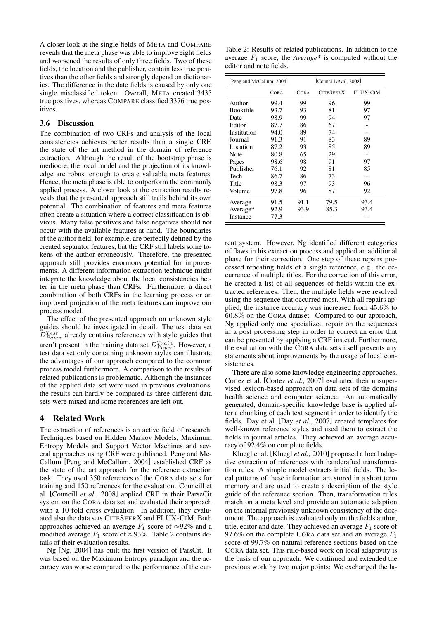A closer look at the single fields of META and COMPARE reveals that the meta phase was able to improve eight fields and worsened the results of only three fields. Two of these fields, the location and the publisher, contain less true positives than the other fields and strongly depend on dictionaries. The difference in the date fields is caused by only one single misclassified token. Overall, META created 3435 true positives, whereas COMPARE classified 3376 true positives.

### 3.6 Discussion

The combination of two CRFs and analysis of the local consistencies achieves better results than a single CRF, the state of the art method in the domain of reference extraction. Although the result of the bootstrap phase is mediocre, the local model and the projection of its knowledge are robust enough to create valuable meta features. Hence, the meta phase is able to outperform the commonly applied process. A closer look at the extraction results reveals that the presented approach still trails behind its own potential. The combination of features and meta features often create a situation where a correct classification is obvious. Many false positives and false negatives should not occur with the available features at hand. The boundaries of the author field, for example, are perfectly defined by the created separator features, but the CRF still labels some tokens of the author erroneously. Therefore, the presented approach still provides enormous potential for improvements. A different information extraction technique might integrate the knowledge about the local consistencies better in the meta phase than CRFs. Furthermore, a direct combination of both CRFs in the learning process or an improved projection of the meta features can improve our process model.

The effect of the presented approach on unknown style guides should be investigated in detail. The test data set  $D_{Paper}^{Test}$  already contains references with style guides that aren't present in the training data set  $D_{Paper}^{Train}$ . However, a test data set only containing unknown styles can illustrate the advantages of our approach compared to the common process model furthermore. A comparison to the results of related publications is problematic. Although the instances of the applied data set were used in previous evaluations, the results can hardly be compared as three different data sets were mixed and some references are left out.

# 4 Related Work

The extraction of references is an active field of research. Techniques based on Hidden Markov Models, Maximum Entropy Models and Support Vector Machines and several approaches using CRF were published. Peng and Mc-Callum [Peng and McCallum, 2004] established CRF as the state of the art approach for the reference extraction task. They used 350 references of the CORA data sets for training and 150 references for the evaluation. Councill et al. [Councill *et al.*, 2008] applied CRF in their ParseCit system on the CORA data set and evaluated their approach with a 10 fold cross evaluation. In addition, they evaluated also the data sets CITESEERX and FLUX-CIM. Both approaches achieved an average  $F_1$  score of ≈92% and a modified average  $F_1$  score of ≈93%. Table 2 contains details of their evaluation results.

Ng [Ng, 2004] has built the first version of ParsCit. It was based on the Maximum Entropy paradigm and the accuracy was worse compared to the performance of the cur-

Table 2: Results of related publications. In addition to the average  $F_1$  score, the *Average*<sup>\*</sup> is computed without the editor and note fields.

| [Peng and McCallum, 2004] |      | [Councill $et al., 2008$ ] |                  |          |  |  |  |
|---------------------------|------|----------------------------|------------------|----------|--|--|--|
|                           | CORA | CORA                       | <b>CITESEERX</b> | FLUX-CIM |  |  |  |
| Author                    | 99.4 | 99                         | 96               | 99       |  |  |  |
| <b>Booktitle</b>          | 93.7 | 93                         | 81               | 97       |  |  |  |
| Date                      | 98.9 | 99                         | 94               | 97       |  |  |  |
| Editor                    | 87.7 | 86                         | 67               |          |  |  |  |
| Institution               | 94.0 | 89                         | 74               |          |  |  |  |
| Journal                   | 91.3 | 91                         | 83               | 89       |  |  |  |
| Location                  | 87.2 | 93                         | 85               | 89       |  |  |  |
| Note                      | 80.8 | 65                         | 29               |          |  |  |  |
| Pages                     | 98.6 | 98                         | 91               | 97       |  |  |  |
| Publisher                 | 76.1 | 92                         | 81               | 85       |  |  |  |
| Tech                      | 86.7 | 86                         | 73               |          |  |  |  |
| Title                     | 98.3 | 97                         | 93               | 96       |  |  |  |
| Volume                    | 97.8 | 96                         | 87               | 92       |  |  |  |
| Average                   | 91.5 | 91.1                       | 79.5             | 93.4     |  |  |  |
| Average*                  | 92.9 | 93.9                       | 85.3             | 93.4     |  |  |  |
| Instance                  | 77.3 |                            |                  |          |  |  |  |

rent system. However, Ng identified different categories of flaws in his extraction process and applied an additional phase for their correction. One step of these repairs processed repeating fields of a single reference, e.g., the occurrence of multiple titles. For the correction of this error, he created a list of all sequences of fields within the extracted references. Then, the multiple fields were resolved using the sequence that occurred most. With all repairs applied, the instance accuracy was increased from 45.6% to 60.8% on the CORA dataset. Compared to our approach, Ng applied only one specialized repair on the sequences in a post processing step in order to correct an error that can be prevented by applying a CRF instead. Furthermore, the evaluation with the CORA data sets itself prevents any statements about improvements by the usage of local consistencies.

There are also some knowledge engineering approaches. Cortez et al. [Cortez *et al.*, 2007] evaluated their unsupervised lexicon-based approach on data sets of the domains health science and computer science. An automatically generated, domain-specific knowledge base is applied after a chunking of each text segment in order to identify the fields. Day et al. [Day *et al.*, 2007] created templates for well-known reference styles and used them to extract the fields in journal articles. They achieved an average accuracy of 92.4% on complete fields.

Kluegl et al. [Kluegl *et al.*, 2010] proposed a local adaptive extraction of references with handcrafted transformation rules. A simple model extracts initial fields. The local patterns of these information are stored in a short term memory and are used to create a description of the style guide of the reference section. Then, transformation rules match on a meta level and provide an automatic adaption on the internal previously unknown consistency of the document. The approach is evaluated only on the fields author, title, editor and date. They achieved an average  $F_1$  score of 97.6% on the complete CORA data set and an average  $F_1$ score of 99.7% on natural reference sections based on the CORA data set. This rule-based work on local adaptivity is the basis of our approach. We continued and extended the previous work by two major points: We exchanged the la